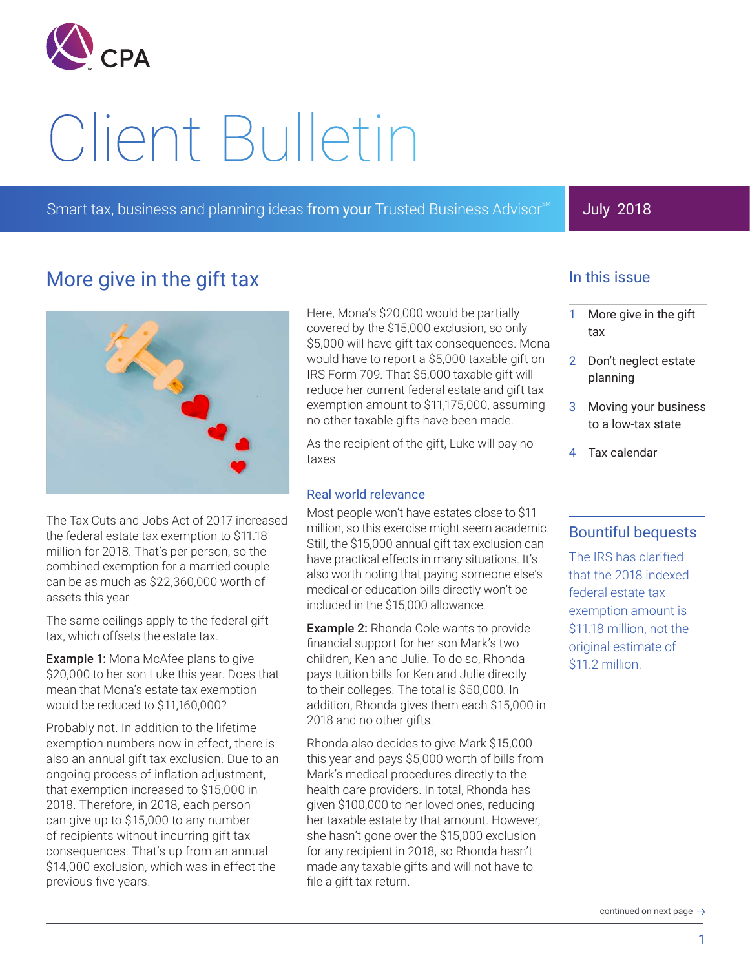

# Client Bulletin

Smart tax, business and planning ideas from your Trusted Business Advisor<sup>®M</sup>

# July 2018

# More give in the gift tax



The Tax Cuts and Jobs Act of 2017 increased the federal estate tax exemption to \$11.18 million for 2018. That's per person, so the combined exemption for a married couple can be as much as \$22,360,000 worth of assets this year.

The same ceilings apply to the federal gift tax, which offsets the estate tax.

**Example 1:** Mona McAfee plans to give \$20,000 to her son Luke this year. Does that mean that Mona's estate tax exemption would be reduced to \$11,160,000?

Probably not. In addition to the lifetime exemption numbers now in effect, there is also an annual gift tax exclusion. Due to an ongoing process of inflation adjustment, that exemption increased to \$15,000 in 2018. Therefore, in 2018, each person can give up to \$15,000 to any number of recipients without incurring gift tax consequences. That's up from an annual \$14,000 exclusion, which was in effect the previous five years.

Here, Mona's \$20,000 would be partially covered by the \$15,000 exclusion, so only \$5,000 will have gift tax consequences. Mona would have to report a \$5,000 taxable gift on IRS Form 709. That \$5,000 taxable gift will reduce her current federal estate and gift tax exemption amount to \$11,175,000, assuming no other taxable gifts have been made.

As the recipient of the gift, Luke will pay no taxes.

#### Real world relevance

Most people won't have estates close to \$11 million, so this exercise might seem academic. Still, the \$15,000 annual gift tax exclusion can have practical effects in many situations. It's also worth noting that paying someone else's medical or education bills directly won't be included in the \$15,000 allowance.

Example 2: Rhonda Cole wants to provide financial support for her son Mark's two children, Ken and Julie. To do so, Rhonda pays tuition bills for Ken and Julie directly to their colleges. The total is \$50,000. In addition, Rhonda gives them each \$15,000 in 2018 and no other gifts.

Rhonda also decides to give Mark \$15,000 this year and pays \$5,000 worth of bills from Mark's medical procedures directly to the health care providers. In total, Rhonda has given \$100,000 to her loved ones, reducing her taxable estate by that amount. However, she hasn't gone over the \$15,000 exclusion for any recipient in 2018, so Rhonda hasn't made any taxable gifts and will not have to file a gift tax return.

## In this issue

- 1 More give in the gift tax
- 2 Don't neglect estate planning
- Moving your business to a low-tax state
- 4 Tax calendar

## Bountiful bequests

The IRS has clarified that the 2018 indexed federal estate tax exemption amount is \$11.18 million, not the original estimate of \$11.2 million.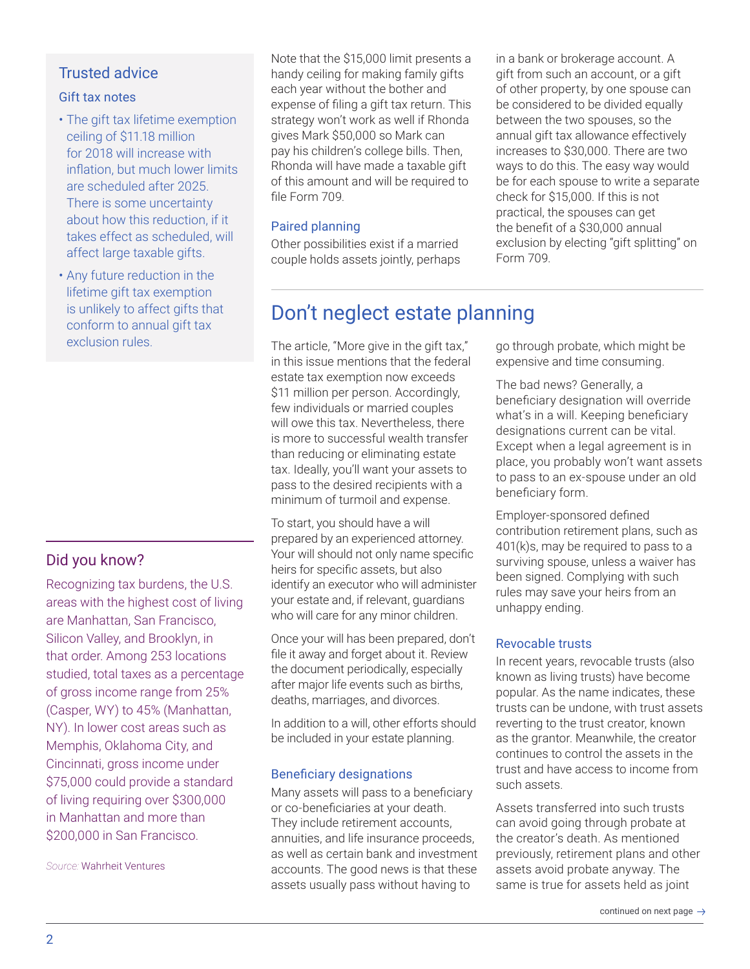# Trusted advice

#### Gift tax notes

- The gift tax lifetime exemption ceiling of \$11.18 million for 2018 will increase with inflation, but much lower limits are scheduled after 2025. There is some uncertainty about how this reduction, if it takes effect as scheduled, will affect large taxable gifts.
- Any future reduction in the lifetime gift tax exemption is unlikely to affect gifts that conform to annual gift tax exclusion rules.

# Did you know?

Recognizing tax burdens, the U.S. areas with the highest cost of living are Manhattan, San Francisco, Silicon Valley, and Brooklyn, in that order. Among 253 locations studied, total taxes as a percentage of gross income range from 25% (Casper, WY) to 45% (Manhattan, NY). In lower cost areas such as Memphis, Oklahoma City, and Cincinnati, gross income under \$75,000 could provide a standard of living requiring over \$300,000 in Manhattan and more than \$200,000 in San Francisco.

*Source:* Wahrheit Ventures

Note that the \$15,000 limit presents a handy ceiling for making family gifts each year without the bother and expense of filing a gift tax return. This strategy won't work as well if Rhonda gives Mark \$50,000 so Mark can pay his children's college bills. Then, Rhonda will have made a taxable gift of this amount and will be required to file Form 709.

### Paired planning

Other possibilities exist if a married couple holds assets jointly, perhaps in a bank or brokerage account. A gift from such an account, or a gift of other property, by one spouse can be considered to be divided equally between the two spouses, so the annual gift tax allowance effectively increases to \$30,000. There are two ways to do this. The easy way would be for each spouse to write a separate check for \$15,000. If this is not practical, the spouses can get the benefit of a \$30,000 annual exclusion by electing "gift splitting" on Form 709.

# Don't neglect estate planning

The article, "More give in the gift tax," in this issue mentions that the federal estate tax exemption now exceeds \$11 million per person. Accordingly, few individuals or married couples will owe this tax. Nevertheless, there is more to successful wealth transfer than reducing or eliminating estate tax. Ideally, you'll want your assets to pass to the desired recipients with a minimum of turmoil and expense.

To start, you should have a will prepared by an experienced attorney. Your will should not only name specific heirs for specific assets, but also identify an executor who will administer your estate and, if relevant, guardians who will care for any minor children.

Once your will has been prepared, don't file it away and forget about it. Review the document periodically, especially after major life events such as births, deaths, marriages, and divorces.

In addition to a will, other efforts should be included in your estate planning.

## Beneficiary designations

Many assets will pass to a beneficiary or co-beneficiaries at your death. They include retirement accounts, annuities, and life insurance proceeds, as well as certain bank and investment accounts. The good news is that these assets usually pass without having to

go through probate, which might be expensive and time consuming.

The bad news? Generally, a beneficiary designation will override what's in a will. Keeping beneficiary designations current can be vital. Except when a legal agreement is in place, you probably won't want assets to pass to an ex-spouse under an old beneficiary form.

Employer-sponsored defined contribution retirement plans, such as 401(k)s, may be required to pass to a surviving spouse, unless a waiver has been signed. Complying with such rules may save your heirs from an unhappy ending.

#### Revocable trusts

In recent years, revocable trusts (also known as living trusts) have become popular. As the name indicates, these trusts can be undone, with trust assets reverting to the trust creator, known as the grantor. Meanwhile, the creator continues to control the assets in the trust and have access to income from such assets.

Assets transferred into such trusts can avoid going through probate at the creator's death. As mentioned previously, retirement plans and other assets avoid probate anyway. The same is true for assets held as joint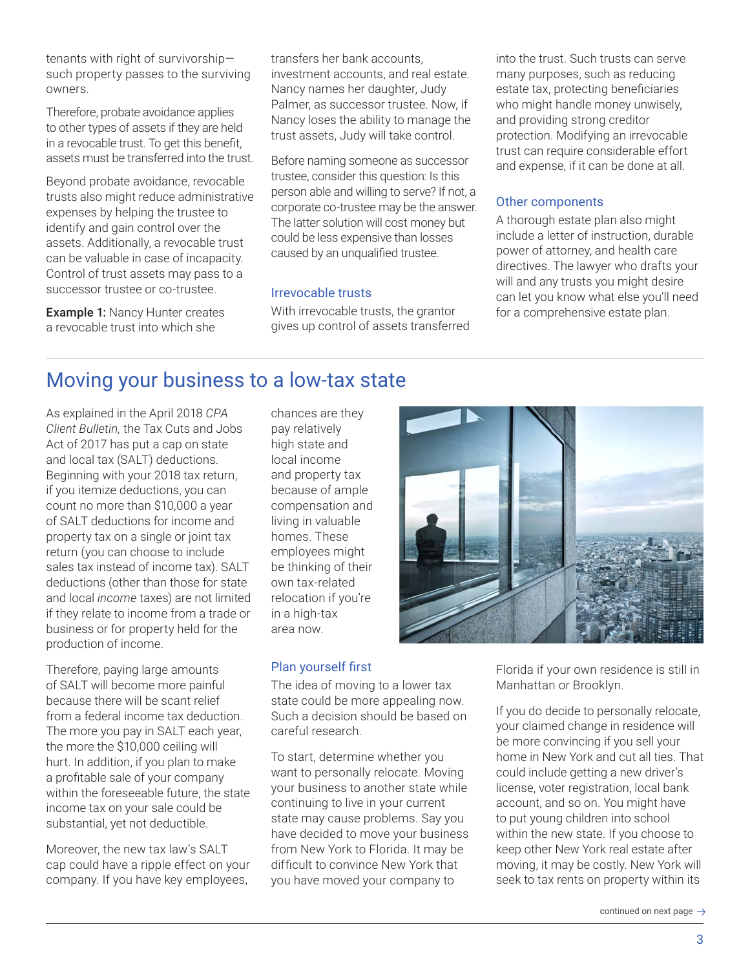tenants with right of survivorship― such property passes to the surviving owners.

Therefore, probate avoidance applies to other types of assets if they are held in a revocable trust. To get this benefit, assets must be transferred into the trust.

Beyond probate avoidance, revocable trusts also might reduce administrative expenses by helping the trustee to identify and gain control over the assets. Additionally, a revocable trust can be valuable in case of incapacity. Control of trust assets may pass to a successor trustee or co-trustee.

Example 1: Nancy Hunter creates a revocable trust into which she

transfers her bank accounts, investment accounts, and real estate. Nancy names her daughter, Judy Palmer, as successor trustee. Now, if Nancy loses the ability to manage the trust assets, Judy will take control.

Before naming someone as successor trustee, consider this question: Is this person able and willing to serve? If not, a corporate co-trustee may be the answer. The latter solution will cost money but could be less expensive than losses caused by an unqualified trustee.

#### Irrevocable trusts

With irrevocable trusts, the grantor gives up control of assets transferred into the trust. Such trusts can serve many purposes, such as reducing estate tax, protecting beneficiaries who might handle money unwisely, and providing strong creditor protection. Modifying an irrevocable trust can require considerable effort and expense, if it can be done at all.

#### Other components

A thorough estate plan also might include a letter of instruction, durable power of attorney, and health care directives. The lawyer who drafts your will and any trusts you might desire can let you know what else you'll need for a comprehensive estate plan.

# Moving your business to a low-tax state

As explained in the April 2018 *CPA Client Bulletin,* the Tax Cuts and Jobs Act of 2017 has put a cap on state and local tax (SALT) deductions. Beginning with your 2018 tax return, if you itemize deductions, you can count no more than \$10,000 a year of SALT deductions for income and property tax on a single or joint tax return (you can choose to include sales tax instead of income tax). SALT deductions (other than those for state and local *income* taxes) are not limited if they relate to income from a trade or business or for property held for the production of income.

Therefore, paying large amounts of SALT will become more painful because there will be scant relief from a federal income tax deduction. The more you pay in SALT each year, the more the \$10,000 ceiling will hurt. In addition, if you plan to make a profitable sale of your company within the foreseeable future, the state income tax on your sale could be substantial, yet not deductible.

Moreover, the new tax law's SALT cap could have a ripple effect on your company. If you have key employees,

chances are they pay relatively high state and local income and property tax because of ample compensation and living in valuable homes. These employees might be thinking of their own tax-related relocation if you're in a high-tax area now.

#### Plan yourself first

The idea of moving to a lower tax state could be more appealing now. Such a decision should be based on careful research.

To start, determine whether you want to personally relocate. Moving your business to another state while continuing to live in your current state may cause problems. Say you have decided to move your business from New York to Florida. It may be difficult to convince New York that you have moved your company to



Florida if your own residence is still in Manhattan or Brooklyn.

If you do decide to personally relocate, your claimed change in residence will be more convincing if you sell your home in New York and cut all ties. That could include getting a new driver's license, voter registration, local bank account, and so on. You might have to put young children into school within the new state. If you choose to keep other New York real estate after moving, it may be costly. New York will seek to tax rents on property within its